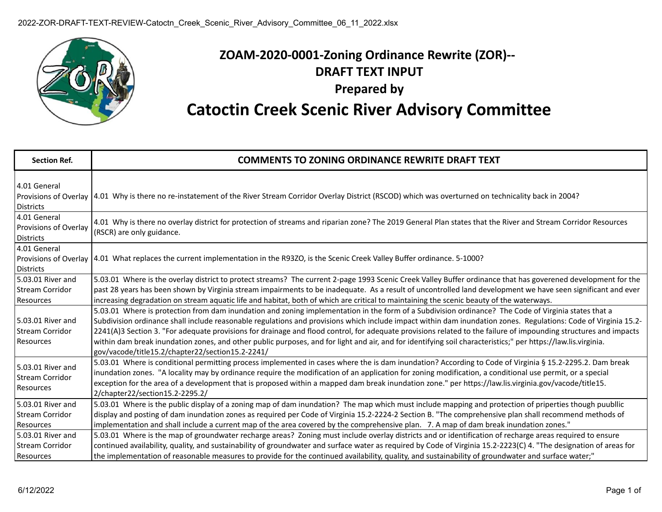

## **ZOAM-2020-0001-Zoning Ordinance Rewrite (ZOR)-- DRAFT TEXT INPUT Prepared by Catoctin Creek Scenic River Advisory Committee**

| <b>Section Ref.</b>                                       | <b>COMMENTS TO ZONING ORDINANCE REWRITE DRAFT TEXT</b>                                                                                                                                                                                                                                                                                                                                                                                                                                                                                                                                                                                                                                                           |
|-----------------------------------------------------------|------------------------------------------------------------------------------------------------------------------------------------------------------------------------------------------------------------------------------------------------------------------------------------------------------------------------------------------------------------------------------------------------------------------------------------------------------------------------------------------------------------------------------------------------------------------------------------------------------------------------------------------------------------------------------------------------------------------|
| 4.01 General<br><b>Districts</b>                          | Provisions of Overlay  4.01 Why is there no re-instatement of the River Stream Corridor Overlay District (RSCOD) which was overturned on technicality back in 2004?                                                                                                                                                                                                                                                                                                                                                                                                                                                                                                                                              |
| 4.01 General<br>Provisions of Overlay<br><b>Districts</b> | 4.01 Why is there no overlay district for protection of streams and riparian zone? The 2019 General Plan states that the River and Stream Corridor Resources<br>(RSCR) are only guidance.                                                                                                                                                                                                                                                                                                                                                                                                                                                                                                                        |
| 4.01 General<br>Provisions of Overlay<br><b>Districts</b> | 4.01 What replaces the current implementation in the R93ZO, is the Scenic Creek Valley Buffer ordinance. 5-1000?                                                                                                                                                                                                                                                                                                                                                                                                                                                                                                                                                                                                 |
| 5.03.01 River and<br><b>Stream Corridor</b><br>Resources  | 5.03.01 Where is the overlay district to protect streams? The current 2-page 1993 Scenic Creek Valley Buffer ordinance that has goverened development for the<br>past 28 years has been shown by Virginia stream impairments to be inadequate. As a result of uncontrolled land development we have seen significant and ever<br>increasing degradation on stream aquatic life and habitat, both of which are critical to maintaining the scenic beauty of the waterways.                                                                                                                                                                                                                                        |
| 5.03.01 River and<br><b>Stream Corridor</b><br>Resources  | 5.03.01 Where is protection from dam inundation and zoning implementation in the form of a Subdivision ordinance? The Code of Virginia states that a<br>Subdivision ordinance shall include reasonable regulations and provisions which include impact within dam inundation zones. Regulations: Code of Virginia 15.2-<br>2241(A)3 Section 3. "For adequate provisions for drainage and flood control, for adequate provisions related to the failure of impounding structures and impacts<br>within dam break inundation zones, and other public purposes, and for light and air, and for identifying soil characteristics;" per https://law.lis.virginia.<br>gov/vacode/title15.2/chapter22/section15.2-2241/ |
| 5.03.01 River and<br><b>Stream Corridor</b><br>Resources  | 5.03.01 Where is conditional permitting process implemented in cases where the is dam inundation? According to Code of Virginia § 15.2-2295.2. Dam break<br>inundation zones. "A locality may by ordinance require the modification of an application for zoning modification, a conditional use permit, or a special<br>exception for the area of a development that is proposed within a mapped dam break inundation zone." per https://law.lis.virginia.gov/vacode/title15.<br>2/chapter22/section15.2-2295.2/                                                                                                                                                                                                |
| 5.03.01 River and<br><b>Stream Corridor</b><br>Resources  | 5.03.01 Where is the public display of a zoning map of dam inundation? The map which must include mapping and protection of priperties though puubllic<br>display and posting of dam inundation zones as required per Code of Virginia 15.2-2224-2 Section B. "The comprehensive plan shall recommend methods of<br>implementation and shall include a current map of the area covered by the comprehensive plan. 7. A map of dam break inundation zones."                                                                                                                                                                                                                                                       |
| 5.03.01 River and<br><b>Stream Corridor</b><br>Resources  | 5.03.01 Where is the map of groundwater recharge areas? Zoning must include overlay districts and or identification of recharge areas required to ensure<br>continued availability, quality, and sustainability of groundwater and surface water as required by Code of Virginia 15.2-2223(C) 4. "The designation of areas for<br>the implementation of reasonable measures to provide for the continued availability, quality, and sustainability of groundwater and surface water;"                                                                                                                                                                                                                            |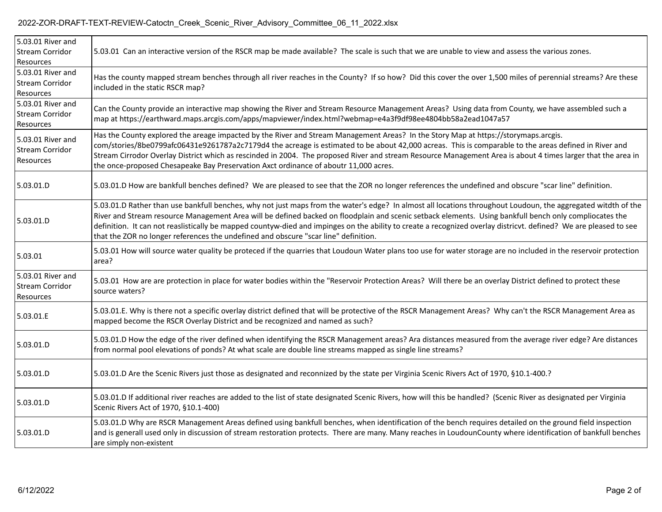## 2022-ZOR-DRAFT-TEXT-REVIEW-Catoctn\_Creek\_Scenic\_River\_Advisory\_Committee\_06\_11\_2022.xlsx

| 5.03.01 River and<br><b>Stream Corridor</b><br>Resources | 5.03.01 Can an interactive version of the RSCR map be made available? The scale is such that we are unable to view and assess the various zones.                                                                                                                                                                                                                                                                                                                                                                                                                                    |
|----------------------------------------------------------|-------------------------------------------------------------------------------------------------------------------------------------------------------------------------------------------------------------------------------------------------------------------------------------------------------------------------------------------------------------------------------------------------------------------------------------------------------------------------------------------------------------------------------------------------------------------------------------|
| 5.03.01 River and<br><b>Stream Corridor</b><br>Resources | Has the county mapped stream benches through all river reaches in the County? If so how? Did this cover the over 1,500 miles of perennial streams? Are these<br>included in the static RSCR map?                                                                                                                                                                                                                                                                                                                                                                                    |
| 5.03.01 River and<br><b>Stream Corridor</b><br>Resources | Can the County provide an interactive map showing the River and Stream Resource Management Areas? Using data from County, we have assembled such a<br>map at https://earthward.maps.arcgis.com/apps/mapviewer/index.html?webmap=e4a3f9df98ee4804bb58a2ead1047a57                                                                                                                                                                                                                                                                                                                    |
| 5.03.01 River and<br><b>Stream Corridor</b><br>Resources | Has the County explored the areage impacted by the River and Stream Management Areas? In the Story Map at https://storymaps.arcgis.<br>com/stories/8be0799afc06431e9261787a2c7179d4 the acreage is estimated to be about 42,000 acreas. This is comparable to the areas defined in River and<br>Stream Cirrodor Overlay District which as rescinded in 2004. The proposed River and stream Resource Management Area is about 4 times larger that the area in<br>the once-proposed Chesapeake Bay Preservation Axct ordinance of aboutr 11,000 acres.                                |
| 5.03.01.D                                                | 5.03.01.D How are bankfull benches defined? We are pleased to see that the ZOR no longer references the undefined and obscure "scar line" definition.                                                                                                                                                                                                                                                                                                                                                                                                                               |
| 5.03.01.D                                                | 5.03.01.D Rather than use bankfull benches, why not just maps from the water's edge? In almost all locations throughout Loudoun, the aggregated witdth of the<br>River and Stream resource Management Area will be defined backed on floodplain and scenic setback elements. Using bankfull bench only compliocates the<br>definition. It can not reaslistically be mapped countyw-died and impinges on the ability to create a recognized overlay districvt. defined? We are pleased to see<br>that the ZOR no longer references the undefined and obscure "scar line" definition. |
| 5.03.01                                                  | 5.03.01 How will source water quality be proteced if the quarries that Loudoun Water plans too use for water storage are no included in the reservoir protection<br>area?                                                                                                                                                                                                                                                                                                                                                                                                           |
| 5.03.01 River and<br><b>Stream Corridor</b><br>Resources | 5.03.01 How are are protection in place for water bodies within the "Reservoir Protection Areas? Will there be an overlay District defined to protect these<br>source waters?                                                                                                                                                                                                                                                                                                                                                                                                       |
| 5.03.01.E                                                | 5.03.01.E. Why is there not a specific overlay district defined that will be protective of the RSCR Management Areas? Why can't the RSCR Management Area as<br>mapped become the RSCR Overlay District and be recognized and named as such?                                                                                                                                                                                                                                                                                                                                         |
| 5.03.01.D                                                | 5.03.01.D How the edge of the river defined when identifying the RSCR Management areas? Ara distances measured from the average river edge? Are distances<br>from normal pool elevations of ponds? At what scale are double line streams mapped as single line streams?                                                                                                                                                                                                                                                                                                             |
| 5.03.01.D                                                | 5.03.01.D Are the Scenic Rivers just those as designated and reconnized by the state per Virginia Scenic Rivers Act of 1970, §10.1-400.?                                                                                                                                                                                                                                                                                                                                                                                                                                            |
| 5.03.01.D                                                | 5.03.01.D If additional river reaches are added to the list of state designated Scenic Rivers, how will this be handled? (Scenic River as designated per Virginia<br>Scenic Rivers Act of 1970, §10.1-400)                                                                                                                                                                                                                                                                                                                                                                          |
| 5.03.01.D                                                | 5.03.01.D Why are RSCR Management Areas defined using bankfull benches, when identification of the bench requires detailed on the ground field inspection<br>and is generall used only in discussion of stream restoration protects. There are many. Many reaches in LoudounCounty where identification of bankfull benches<br>are simply non-existent                                                                                                                                                                                                                              |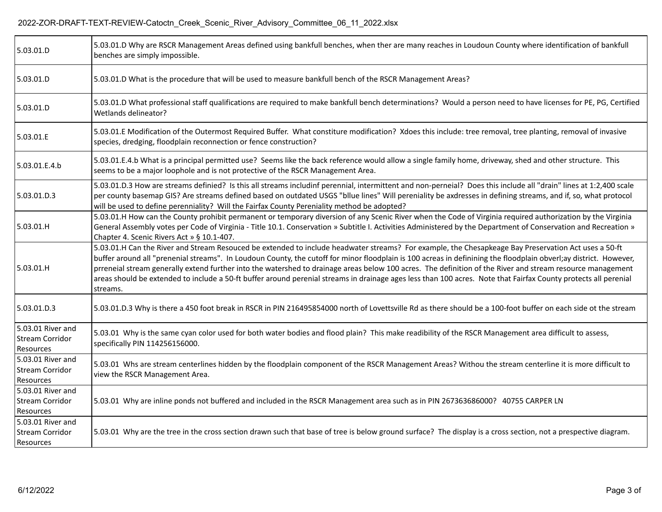| 5.03.01.D                                                | 5.03.01.D Why are RSCR Management Areas defined using bankfull benches, when ther are many reaches in Loudoun County where identification of bankfull<br>benches are simply impossible.                                                                                                                                                                                                                                                                                                                                                                                                                                                                                |
|----------------------------------------------------------|------------------------------------------------------------------------------------------------------------------------------------------------------------------------------------------------------------------------------------------------------------------------------------------------------------------------------------------------------------------------------------------------------------------------------------------------------------------------------------------------------------------------------------------------------------------------------------------------------------------------------------------------------------------------|
| 5.03.01.D                                                | 5.03.01.D What is the procedure that will be used to measure bankfull bench of the RSCR Management Areas?                                                                                                                                                                                                                                                                                                                                                                                                                                                                                                                                                              |
| 5.03.01.D                                                | 5.03.01.D What professional staff qualifications are required to make bankfull bench determinations? Would a person need to have licenses for PE, PG, Certified<br>Wetlands delineator?                                                                                                                                                                                                                                                                                                                                                                                                                                                                                |
| 5.03.01.E                                                | 5.03.01.E Modification of the Outermost Required Buffer. What constiture modification? Xdoes this include: tree removal, tree planting, removal of invasive<br>species, dredging, floodplain reconnection or fence construction?                                                                                                                                                                                                                                                                                                                                                                                                                                       |
| 5.03.01.E.4.b                                            | 5.03.01.E.4.b What is a principal permitted use? Seems like the back reference would allow a single family home, driveway, shed and other structure. This<br>seems to be a major loophole and is not protective of the RSCR Management Area.                                                                                                                                                                                                                                                                                                                                                                                                                           |
| 5.03.01.D.3                                              | 5.03.01.D.3 How are streams definied? Is this all streams includinf perennial, intermittent and non-perneial? Does this include all "drain" lines at 1:2,400 scale<br>per county basemap GIS? Are streams defined based on outdated USGS "bllue lines" Will pereniality be axdresses in defining streams, and if, so, what protocol<br>will be used to define perenniality? Will the Fairfax County Pereniality method be adopted?                                                                                                                                                                                                                                     |
| 5.03.01.H                                                | 5.03.01.H How can the County prohibit permanent or temporary diversion of any Scenic River when the Code of Virginia required authorization by the Virginia<br>General Assembly votes per Code of Virginia - Title 10.1. Conservation » Subtitle I. Activities Administered by the Department of Conservation and Recreation »<br>Chapter 4. Scenic Rivers Act » § 10.1-407.                                                                                                                                                                                                                                                                                           |
| 5.03.01.H                                                | 5.03.01.H Can the River and Stream Resouced be extended to include headwater streams? For example, the Chesapkeage Bay Preservation Act uses a 50-ft<br>buffer around all "prenenial streams". In Loudoun County, the cutoff for minor floodplain is 100 acreas in definining the floodplain obverl;ay district. However,<br>prreneial stream generally extend further into the watershed to drainage areas below 100 acres. The definition of the River and stream resource management<br>areas should be extended to include a 50-ft buffer around perenial streams in drainage ages less than 100 acres. Note that Fairfax County protects all perenial<br>streams. |
| 5.03.01.D.3                                              | 5.03.01.D.3 Why is there a 450 foot break in RSCR in PIN 216495854000 north of Lovettsville Rd as there should be a 100-foot buffer on each side ot the stream                                                                                                                                                                                                                                                                                                                                                                                                                                                                                                         |
| 5.03.01 River and<br>Stream Corridor<br>Resources        | 5.03.01 Why is the same cyan color used for both water bodies and flood plain? This make readibility of the RSCR Management area difficult to assess,<br>specifically PIN 114256156000.                                                                                                                                                                                                                                                                                                                                                                                                                                                                                |
| 5.03.01 River and<br>Stream Corridor<br>Resources        | 5.03.01 Whs are stream centerlines hidden by the floodplain component of the RSCR Management Areas? Withou the stream centerline it is more difficult to<br>view the RSCR Management Area.                                                                                                                                                                                                                                                                                                                                                                                                                                                                             |
| 5.03.01 River and<br>Stream Corridor<br>Resources        | 5.03.01 Why are inline ponds not buffered and included in the RSCR Management area such as in PIN 267363686000? 40755 CARPER LN                                                                                                                                                                                                                                                                                                                                                                                                                                                                                                                                        |
| 5.03.01 River and<br><b>Stream Corridor</b><br>Resources | 5.03.01 Why are the tree in the cross section drawn such that base of tree is below ground surface? The display is a cross section, not a prespective diagram.                                                                                                                                                                                                                                                                                                                                                                                                                                                                                                         |